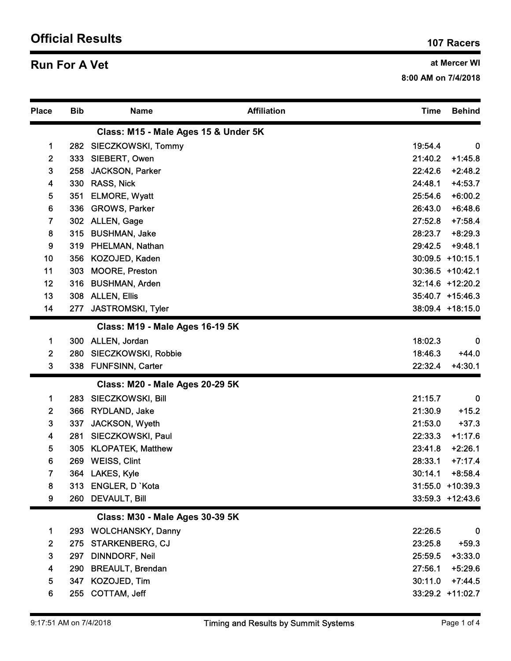## Official Results 107 Racers 107 Racers

## **Run For A Vet** and Mercer WI

| <b>Run For A Vet</b>    |            |                                        |                    | at Mercer WI<br>8:00 AM on 7/4/2018 |                        |  |
|-------------------------|------------|----------------------------------------|--------------------|-------------------------------------|------------------------|--|
| <b>Place</b>            | <b>Bib</b> | <b>Name</b>                            | <b>Affiliation</b> | <b>Time</b>                         | <b>Behind</b>          |  |
|                         |            | Class: M15 - Male Ages 15 & Under 5K   |                    |                                     |                        |  |
| $\mathbf 1$             | 282        | SIECZKOWSKI, Tommy                     |                    | 19:54.4                             | $\mathbf 0$            |  |
| $\mathbf{2}$            | 333        | SIEBERT, Owen                          |                    | 21:40.2                             | $+1:45.8$              |  |
| 3<br>4                  | 258<br>330 | <b>JACKSON, Parker</b><br>RASS, Nick   |                    | 22:42.6<br>24:48.1                  | $+2:48.2$<br>$+4:53.7$ |  |
| 5                       | 351        | <b>ELMORE, Wyatt</b>                   |                    | 25:54.6                             | $+6:00.2$              |  |
| 6                       | 336        | <b>GROWS, Parker</b>                   |                    | 26:43.0                             | $+6:48.6$              |  |
| $\overline{7}$          | 302        | <b>ALLEN, Gage</b>                     |                    | 27:52.8                             | $+7:58.4$              |  |
| 8                       | 315        | <b>BUSHMAN, Jake</b>                   |                    | 28:23.7                             | $+8:29.3$              |  |
| 9                       | 319        | PHELMAN, Nathan                        |                    | 29:42.5                             | $+9:48.1$              |  |
| 10                      | 356        | KOZOJED, Kaden                         |                    |                                     | 30:09.5 +10:15.1       |  |
| 11                      | 303        | <b>MOORE, Preston</b>                  |                    |                                     | 30:36.5 +10:42.1       |  |
| 12                      | 316        | <b>BUSHMAN, Arden</b>                  |                    |                                     | 32:14.6 +12:20.2       |  |
| 13                      |            | 308 ALLEN, Ellis                       |                    |                                     | 35:40.7 +15:46.3       |  |
| 14                      | 277        | JASTROMSKI, Tyler                      |                    |                                     | 38:09.4 +18:15.0       |  |
|                         |            | <b>Class: M19 - Male Ages 16-19 5K</b> |                    |                                     |                        |  |
| 1<br>$\mathbf{2}$       | 300<br>280 | ALLEN, Jordan<br>SIECZKOWSKI, Robbie   |                    | 18:02.3<br>18:46.3                  | 0<br>$+44.0$           |  |
| $\mathbf{3}$            |            | 338 FUNFSINN, Carter                   |                    | 22:32.4                             | $+4:30.1$              |  |
|                         |            | <b>Class: M20 - Male Ages 20-29 5K</b> |                    |                                     |                        |  |
| $\mathbf 1$             | 283        | SIECZKOWSKI, Bill                      |                    | 21:15.7                             | $\bf{0}$               |  |
| $\mathbf{2}$            | 366        | RYDLAND, Jake                          |                    | 21:30.9                             | $+15.2$                |  |
| $\mathbf{3}$            | 337        | JACKSON, Wyeth                         |                    | 21:53.0                             | $+37.3$                |  |
| $\overline{\mathbf{4}}$ | 281        | SIECZKOWSKI, Paul                      |                    | 22:33.3                             | $+1:17.6$              |  |
| $\sqrt{5}$              | 305        | <b>KLOPATEK, Matthew</b>               |                    | 23:41.8                             | $+2:26.1$              |  |
| 6                       | 269        | <b>WEISS, Clint</b>                    |                    | 28:33.1                             | $+7:17.4$              |  |
| $\overline{7}$          |            | 364 LAKES, Kyle                        |                    | 30:14.1                             | $+8:58.4$              |  |
| 8                       |            | 313 ENGLER, D `Kota                    |                    |                                     | $31:55.0 + 10:39.3$    |  |
| 9                       |            | 260 DEVAULT, Bill                      |                    |                                     | $33:59.3$ +12:43.6     |  |
|                         |            | <b>Class: M30 - Male Ages 30-39 5K</b> |                    |                                     |                        |  |
| $\mathbf 1$             | 293        | <b>WOLCHANSKY, Danny</b>               |                    | 22:26.5                             | $\bf{0}$               |  |
| $\mathbf{2}$            | 275        | <b>STARKENBERG, CJ</b>                 |                    | 23:25.8                             | $+59.3$                |  |
| $\mathbf{3}$            | 297        | <b>DINNDORF, Neil</b>                  |                    | 25:59.5                             | $+3:33.0$              |  |
| $\overline{\mathbf{4}}$ | 290        | <b>BREAULT, Brendan</b>                |                    | 27:56.1                             | $+5:29.6$              |  |
| 5                       | 347        | KOZOJED, Tim                           |                    |                                     | $30:11.0$ +7:44.5      |  |
| $\bf 6$                 |            | 255 COTTAM, Jeff                       |                    |                                     | 33:29.2 +11:02.7       |  |
|                         |            |                                        |                    |                                     |                        |  |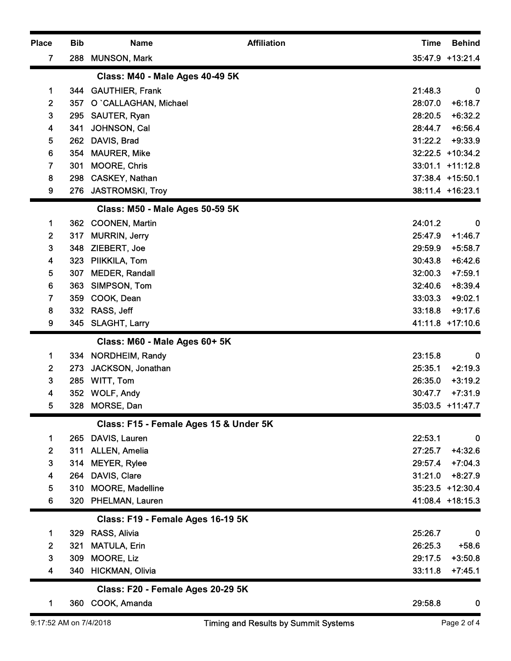| <b>Place</b><br>7 | <b>Bib</b><br>288 | <b>Name</b><br><b>MUNSON, Mark</b>                      | <b>Affiliation</b> | <b>Time</b>        | <b>Behind</b><br>35:47.9 +13:21.4    |
|-------------------|-------------------|---------------------------------------------------------|--------------------|--------------------|--------------------------------------|
|                   |                   |                                                         |                    |                    |                                      |
| 1                 |                   | Class: M40 - Male Ages 40-49 5K<br>344 GAUTHIER, Frank  |                    | 21:48.3            | $\bf{0}$                             |
| $\mathbf{2}$      | 357               | O `CALLAGHAN, Michael                                   |                    | 28:07.0            | $+6:18.7$                            |
| $\mathbf{3}$      | 295               | SAUTER, Ryan                                            |                    | 28:20.5            | $+6:32.2$                            |
| 4                 | 341               | JOHNSON, Cal                                            |                    | 28:44.7            | $+6:56.4$                            |
| 5                 | 262               | DAVIS, Brad                                             |                    | 31:22.2            | $+9:33.9$                            |
| 6                 |                   | 354 MAURER, Mike                                        |                    |                    | 32:22.5 +10:34.2                     |
| $\mathbf{7}$<br>8 | 301<br>298        | <b>MOORE, Chris</b><br>CASKEY, Nathan                   |                    |                    | 33:01.1 +11:12.8<br>37:38.4 +15:50.1 |
| 9                 |                   | 276 JASTROMSKI, Troy                                    |                    |                    | 38:11.4 +16:23.1                     |
|                   |                   |                                                         |                    |                    |                                      |
|                   |                   | Class: M50 - Male Ages 50-59 5K                         |                    |                    |                                      |
| 1<br>$\mathbf{2}$ | 362<br>317        | <b>COONEN, Martin</b><br><b>MURRIN, Jerry</b>           |                    | 24:01.2<br>25:47.9 | $\bf{0}$<br>$+1:46.7$                |
| $\mathbf{3}$      | 348               | ZIEBERT, Joe                                            |                    | 29:59.9            | $+5:58.7$                            |
| 4                 | 323               | PIIKKILA, Tom                                           |                    | 30:43.8            | $+6:42.6$                            |
| 5                 | 307               | <b>MEDER, Randall</b>                                   |                    | 32:00.3            | $+7:59.1$                            |
| 6                 | 363               | SIMPSON, Tom                                            |                    | 32:40.6            | $+8:39.4$                            |
| $\overline{7}$    | 359               | COOK, Dean                                              |                    | 33:03.3            | $+9:02.1$                            |
| 8                 | 332               | RASS, Jeff                                              |                    | 33:18.8            | $+9:17.6$                            |
| 9                 | 345               | <b>SLAGHT, Larry</b>                                    |                    |                    | 41:11.8 +17:10.6                     |
|                   |                   | Class: M60 - Male Ages 60+ 5K                           |                    |                    |                                      |
| $\mathbf 1$       |                   | 334 NORDHEIM, Randy                                     |                    | 23:15.8            | $\bf{0}$                             |
| $\overline{2}$    | 273               | JACKSON, Jonathan                                       |                    | 25:35.1            | $+2:19.3$                            |
| $\mathbf{3}$<br>4 | 285               | WITT, Tom<br>352 WOLF, Andy                             |                    | 26:35.0<br>30:47.7 | $+3:19.2$<br>$+7:31.9$               |
| 5                 |                   | 328 MORSE, Dan                                          |                    |                    | 35:03.5 +11:47.7                     |
|                   |                   |                                                         |                    |                    |                                      |
|                   |                   | Class: F15 - Female Ages 15 & Under 5K<br>DAVIS, Lauren |                    | 22:53.1            | $\bf{0}$                             |
| 1<br>$\mathbf{2}$ | 265<br>311        | <b>ALLEN, Amelia</b>                                    |                    | 27:25.7            | $+4:32.6$                            |
| $\mathbf{3}$      | 314               | <b>MEYER, Rylee</b>                                     |                    | 29:57.4            | $+7:04.3$                            |
| 4                 | 264               | DAVIS, Clare                                            |                    | 31:21.0            | $+8:27.9$                            |
| 5                 | 310               | <b>MOORE, Madelline</b>                                 |                    |                    | 35:23.5 +12:30.4                     |
| $6\phantom{1}$    | 320               | PHELMAN, Lauren                                         |                    |                    | 41:08.4 +18:15.3                     |
|                   |                   | Class: F19 - Female Ages 16-19 5K                       |                    |                    |                                      |
| $\mathbf 1$       | 329               | RASS, Alivia                                            |                    | 25:26.7            | $\bf{0}$                             |
| $\overline{2}$    | 321               | <b>MATULA, Erin</b>                                     |                    | 26:25.3            | $+58.6$                              |
| 3                 | 309               | MOORE, Liz                                              |                    | 29:17.5            | $+3:50.8$                            |
| 4                 | 340               | <b>HICKMAN, Olivia</b>                                  |                    | 33:11.8            | $+7:45.1$                            |
|                   |                   | Class: F20 - Female Ages 20-29 5K                       |                    |                    |                                      |
|                   |                   | 360 COOK, Amanda                                        |                    | 29:58.8            | $\bf{0}$                             |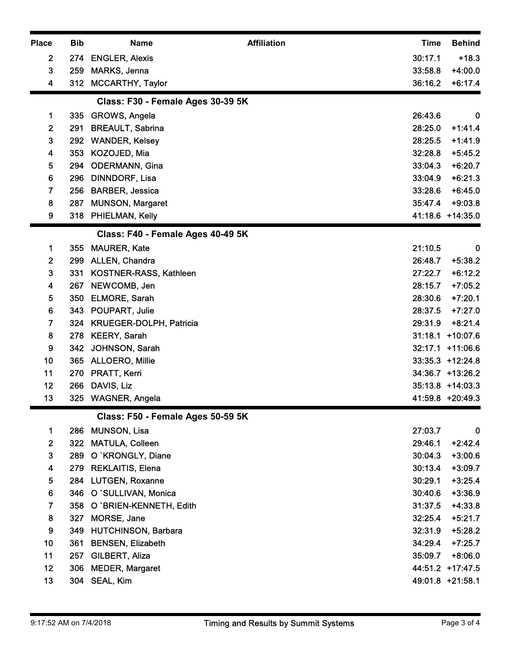| <b>Place</b>        | <b>Bib</b> | <b>Affiliation</b><br><b>Name</b>      | <b>Behind</b><br><b>Time</b>                 |
|---------------------|------------|----------------------------------------|----------------------------------------------|
| $\boldsymbol{2}$    | 274        | <b>ENGLER, Alexis</b>                  | 30:17.1<br>$+18.3$                           |
| 3                   | 259        | MARKS, Jenna                           | 33:58.8<br>$+4:00.0$                         |
| 4                   |            | 312 MCCARTHY, Taylor                   | 36:16.2<br>$+6:17.4$                         |
|                     |            | Class: F30 - Female Ages 30-39 5K      |                                              |
| 1                   | 335        | GROWS, Angela                          | 26:43.6<br>$\bf{0}$                          |
| $\mathbf{2}$        | 291<br>292 | <b>BREAULT, Sabrina</b>                | 28:25.0<br>$+1:41.4$<br>28:25.5<br>$+1:41.9$ |
| 3<br>4              | 353        | <b>WANDER, Kelsey</b><br>KOZOJED, Mia  | 32:28.8<br>$+5:45.2$                         |
| 5                   | 294        | <b>ODERMANN, Gina</b>                  | 33:04.3<br>$+6:20.7$                         |
| 6                   | 296        | <b>DINNDORF, Lisa</b>                  | 33:04.9<br>$+6:21.3$                         |
| 7                   | 256        | <b>BARBER, Jessica</b>                 | 33:28.6<br>$+6:45.0$                         |
| 8                   | 287        | <b>MUNSON, Margaret</b>                | 35:47.4 +9:03.8                              |
| 9                   |            | 318 PHIELMAN, Kelly                    | 41:18.6 +14:35.0                             |
|                     |            | Class: F40 - Female Ages 40-49 5K      |                                              |
| 1                   | 355        | <b>MAURER, Kate</b>                    | 21:10.5<br>$\bf{0}$                          |
| $\boldsymbol{2}$    | 299        | ALLEN, Chandra                         | 26:48.7<br>$+5:38.2$                         |
| 3<br>4              | 331<br>267 | KOSTNER-RASS, Kathleen<br>NEWCOMB, Jen | 27:22.7<br>$+6:12.2$<br>$+7:05.2$<br>28:15.7 |
| 5                   | 350        | ELMORE, Sarah                          | 28:30.6<br>$+7:20.1$                         |
| 6                   | 343        | POUPART, Julie                         | $+7:27.0$<br>28:37.5                         |
| 7                   | 324        | KRUEGER-DOLPH, Patricia                | 29:31.9<br>$+8:21.4$                         |
| 8                   | 278        | <b>KEERY, Sarah</b>                    | 31:18.1 +10:07.6                             |
| 9                   | 342        | JOHNSON, Sarah                         | 32:17.1 +11:06.6                             |
| 10                  | 365        | <b>ALLOERO, Millie</b>                 | $33:35.3 + 12:24.8$                          |
| 11<br>12            | 270        | PRATT, Kerri<br>266 DAVIS, Liz         | 34:36.7 +13:26.2<br>35:13.8 +14:03.3         |
| 13                  |            | 325 WAGNER, Angela                     | 41:59.8 +20:49.3                             |
|                     |            | Class: F50 - Female Ages 50-59 5K      |                                              |
| 1                   | 286        | <b>MUNSON, Lisa</b>                    | 27:03.7<br>$\boldsymbol{0}$                  |
| $\overline{2}$      | 322        | MATULA, Colleen                        | 29:46.1<br>$+2:42.4$                         |
| 3                   | 289        | O `KRONGLY, Diane                      | 30:04.3<br>$+3:00.6$                         |
| 4                   | 279        | <b>REKLAITIS, Elena</b>                | 30:13.4<br>$+3:09.7$                         |
| 5                   | 284        | <b>LUTGEN, Roxanne</b>                 | 30:29.1<br>$+3:25.4$                         |
| 6                   | 346        | O `SULLIVAN, Monica                    | 30:40.6<br>$+3:36.9$                         |
| $\overline{7}$<br>8 | 358<br>327 | O `BRIEN-KENNETH, Edith<br>MORSE, Jane | $+4:33.8$<br>31:37.5<br>32:25.4<br>$+5:21.7$ |
| $\boldsymbol{9}$    | 349        | <b>HUTCHINSON, Barbara</b>             | 32:31.9<br>$+5:28.2$                         |
| 10                  | 361        | <b>BENSEN, Elizabeth</b>               | 34:29.4<br>$+7:25.7$                         |
| 11                  | 257        | GILBERT, Aliza                         | 35:09.7<br>$+8:06.0$                         |
| 12                  | 306        | <b>MEDER, Margaret</b>                 | 44:51.2 +17:47.5                             |
| 13                  |            | 304 SEAL, Kim                          | 49:01.8 +21:58.1                             |